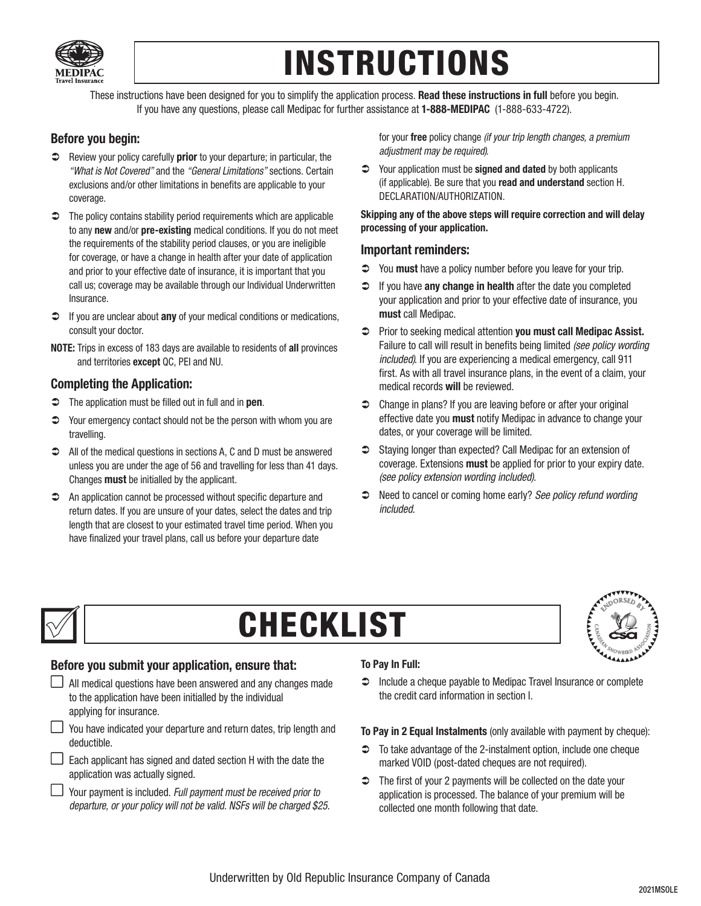

# INSTRUCTIONS

These instructions have been designed for you to simplify the application process. Read these instructions in full before you begin. If you have any questions, please call Medipac for further assistance at 1-888-MEDIPAC (1-888-633-4722).

## Before you begin:

- $\heartsuit$  Review your policy carefully **prior** to your departure; in particular, the *"What is Not Covered"* and the *"General Limitations"* sections. Certain exclusions and/or other limitations in benefits are applicable to your coverage.
- $\supset$  The policy contains stability period requirements which are applicable to any new and/or pre-existing medical conditions. If you do not meet the requirements of the stability period clauses, or you are ineligible for coverage, or have a change in health after your date of application and prior to your effective date of insurance, it is important that you call us; coverage may be available through our Individual Underwritten Insurance.
- $\supset$  If you are unclear about **any** of your medical conditions or medications, consult your doctor.
- NOTE: Trips in excess of 183 days are available to residents of all provinces and territories except QC, PEI and NU.

### Completing the Application:

- $\supset$  The application must be filled out in full and in pen.
- $\supset$  Your emergency contact should not be the person with whom you are travelling.
- All of the medical questions in sections A, C and D must be answered unless you are under the age of 56 and travelling for less than 41 days. Changes must be initialled by the applicant.
- An application cannot be processed without specific departure and return dates. If you are unsure of your dates, select the dates and trip length that are closest to your estimated travel time period. When you have finalized your travel plans, call us before your departure date

for your free policy change *(if your trip length changes, a premium adjustment may be required)*.

 $\supset$  Your application must be **signed and dated** by both applicants (if applicable). Be sure that you read and understand section H. DECLARATION/AUTHORIZATION.

Skipping any of the above steps will require correction and will delay processing of your application.

### Important reminders:

- $\heartsuit$  You **must** have a policy number before you leave for your trip.
- $\supset$  If you have any change in health after the date you completed your application and prior to your effective date of insurance, you must call Medipac.
- $\supset$  Prior to seeking medical attention you must call Medipac Assist. Failure to call will result in benefits being limited *(see policy wording included)*. If you are experiencing a medical emergency, call 911 first. As with all travel insurance plans, in the event of a claim, your medical records will be reviewed.
- Change in plans? If you are leaving before or after your original effective date you must notify Medipac in advance to change your dates, or your coverage will be limited.
- **◯** Staving longer than expected? Call Medipac for an extension of coverage. Extensions must be applied for prior to your expiry date. *(see policy extension wording included).*
- Need to cancel or coming home early? *See policy refund wording included.*



# CHECKLIST



## Before you submit your application, ensure that:

- $\Box$  All medical questions have been answered and any changes made to the application have been initialled by the individual applying for insurance.
- $\Box$  You have indicated your departure and return dates, trip length and deductible.
- $\Box$  Each applicant has signed and dated section H with the date the application was actually signed.
- Your payment is included. *Full payment must be received prior to departure, or your policy will not be valid. NSFs will be charged \$25.*

### To Pay In Full:

 $\supset$  Include a cheque payable to Medipac Travel Insurance or complete the credit card information in section I.

To Pay in 2 Equal Instalments (only available with payment by cheque):

- $\supset$  To take advantage of the 2-instalment option, include one cheque marked VOID (post-dated cheques are not required).
- $\supset$  The first of your 2 payments will be collected on the date your application is processed. The balance of your premium will be collected one month following that date.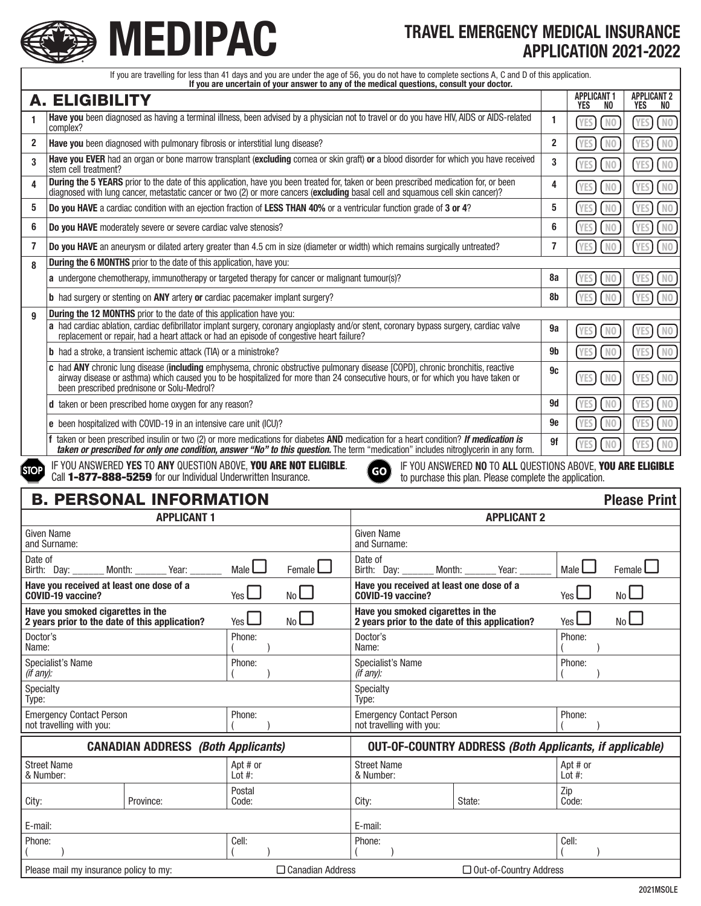

# **MEDIPAC** TRAVEL EMERGENCY MEDICAL INSURANCE MEDICAL INSURANCE APPLICATION 2021-2022

| If you are travelling for less than 41 days and you are under the age of 56, you do not have to complete sections A, C and D of this application.                 |                                                                                                                                                                                                                                                                                                                   |                         |                                                                                     |                              |                              |                                     |  |  |
|-------------------------------------------------------------------------------------------------------------------------------------------------------------------|-------------------------------------------------------------------------------------------------------------------------------------------------------------------------------------------------------------------------------------------------------------------------------------------------------------------|-------------------------|-------------------------------------------------------------------------------------|------------------------------|------------------------------|-------------------------------------|--|--|
| If you are uncertain of your answer to any of the medical questions, consult your doctor.                                                                         |                                                                                                                                                                                                                                                                                                                   |                         |                                                                                     |                              | <b>APPLICANT 1</b>           | <b>APPLICANT 2</b>                  |  |  |
| <b>A. ELIGIBILITY</b><br>Have you been diagnosed as having a terminal illness, been advised by a physician not to travel or do you have HIV, AIDS or AIDS-related |                                                                                                                                                                                                                                                                                                                   |                         |                                                                                     |                              | YES<br>NO.<br>N <sub>0</sub> | YES<br>NO.<br>YES<br>N <sub>0</sub> |  |  |
| $\mathbf{2}$                                                                                                                                                      | complex?                                                                                                                                                                                                                                                                                                          |                         |                                                                                     |                              |                              | N <sub>0</sub>                      |  |  |
|                                                                                                                                                                   | Have you been diagnosed with pulmonary fibrosis or interstitial lung disease?<br>Have you EVER had an organ or bone marrow transplant (excluding cornea or skin graft) or a blood disorder for which you have received                                                                                            |                         |                                                                                     |                              |                              | <b>YES</b>                          |  |  |
| 3                                                                                                                                                                 | stem cell treatment?                                                                                                                                                                                                                                                                                              |                         |                                                                                     | 3                            | N <sub>0</sub><br><b>YES</b> | <b>YES</b><br>N <sub>0</sub>        |  |  |
| 4                                                                                                                                                                 | During the 5 YEARS prior to the date of this application, have you been treated for, taken or been prescribed medication for, or been<br>diagnosed with lung cancer, metastatic cancer or two (2) or more cancers (excluding basal cell and squamous cell skin cancer)?                                           | 4                       | N <sub>0</sub>                                                                      | <b>YES</b><br>N <sub>0</sub> |                              |                                     |  |  |
| 5                                                                                                                                                                 | Do you HAVE a cardiac condition with an ejection fraction of LESS THAN 40% or a ventricular function grade of 3 or 4?                                                                                                                                                                                             |                         |                                                                                     | 5                            | N <sub>0</sub>               | <b>YES</b><br>N <sub>0</sub>        |  |  |
| 6                                                                                                                                                                 | Do you HAVE moderately severe or severe cardiac valve stenosis?                                                                                                                                                                                                                                                   |                         |                                                                                     | 6                            | N <sub>0</sub>               | <b>YES</b><br>N <sub>0</sub>        |  |  |
| 7                                                                                                                                                                 | Do you HAVE an aneurysm or dilated artery greater than 4.5 cm in size (diameter or width) which remains surgically untreated?                                                                                                                                                                                     |                         |                                                                                     | 7                            | <b>YES</b><br>N <sub>0</sub> | <b>YES</b><br>N <sub>0</sub>        |  |  |
| 8                                                                                                                                                                 | During the 6 MONTHS prior to the date of this application, have you:                                                                                                                                                                                                                                              |                         |                                                                                     |                              |                              |                                     |  |  |
|                                                                                                                                                                   | a undergone chemotherapy, immunotherapy or targeted therapy for cancer or malignant tumour(s)?                                                                                                                                                                                                                    |                         |                                                                                     | 8a                           | N <sub>0</sub>               | N <sub>0</sub><br><b>YES</b>        |  |  |
|                                                                                                                                                                   | <b>b</b> had surgery or stenting on <b>ANY</b> artery or cardiac pacemaker implant surgery?                                                                                                                                                                                                                       |                         |                                                                                     | 8b                           | N <sub>0</sub>               | <b>YES</b><br>N <sub>0</sub>        |  |  |
| 9                                                                                                                                                                 | During the 12 MONTHS prior to the date of this application have you:                                                                                                                                                                                                                                              |                         |                                                                                     |                              |                              |                                     |  |  |
|                                                                                                                                                                   | a had cardiac ablation, cardiac defibrillator implant surgery, coronary angioplasty and/or stent, coronary bypass surgery, cardiac valve<br>replacement or repair, had a heart attack or had an episode of congestive heart failure?                                                                              |                         |                                                                                     | 9a                           | N <sub>0</sub><br><b>YES</b> | <b>YES</b><br>N <sub>0</sub>        |  |  |
|                                                                                                                                                                   | <b>b</b> had a stroke, a transient ischemic attack (TIA) or a ministroke?                                                                                                                                                                                                                                         |                         |                                                                                     | 9b                           | N <sub>0</sub>               | N <sub>0</sub><br><b>YES</b>        |  |  |
|                                                                                                                                                                   | c had ANY chronic lung disease (including emphysema, chronic obstructive pulmonary disease [COPD], chronic bronchitis, reactive<br>airway disease or asthma) which caused you to be hospitalized for more than 24 consecutive hours, or for which you have taken or<br>been prescribed prednisone or Solu-Medrol? | 9c                      | N <sub>0</sub><br><b>YES</b>                                                        | <b>YES</b><br>N <sub>0</sub> |                              |                                     |  |  |
|                                                                                                                                                                   | d taken or been prescribed home oxygen for any reason?                                                                                                                                                                                                                                                            |                         |                                                                                     | <b>9d</b>                    | N <sub>0</sub>               | N <sub>0</sub><br><b>YES</b>        |  |  |
|                                                                                                                                                                   | e been hospitalized with COVID-19 in an intensive care unit (ICU)?                                                                                                                                                                                                                                                |                         |                                                                                     | 9e                           | N <sub>0</sub>               | <b>YES</b><br>N <sub>0</sub>        |  |  |
| f taken or been prescribed insulin or two (2) or more medications for diabetes AND medication for a heart condition? If medication is                             |                                                                                                                                                                                                                                                                                                                   |                         |                                                                                     |                              |                              | <b>YES</b><br>N <sub>0</sub>        |  |  |
|                                                                                                                                                                   | taken or prescribed for only one condition, answer "No" to this question. The term "medication" includes nitroglycerin in any form.                                                                                                                                                                               | 9f                      | N <sub>0</sub>                                                                      |                              |                              |                                     |  |  |
|                                                                                                                                                                   | IF YOU ANSWERED YES TO ANY QUESTION ABOVE, YOU ARE NOT ELIGIBLE.<br>IF YOU ANSWERED NO TO ALL QUESTIONS ABOVE, YOU ARE ELIGIBLE<br>GO<br>Call 1-877-888-5259 for our Individual Underwritten Insurance.<br>to purchase this plan. Please complete the application.                                                |                         |                                                                                     |                              |                              |                                     |  |  |
| <b>STOP</b>                                                                                                                                                       |                                                                                                                                                                                                                                                                                                                   |                         |                                                                                     |                              |                              |                                     |  |  |
|                                                                                                                                                                   |                                                                                                                                                                                                                                                                                                                   |                         |                                                                                     |                              |                              |                                     |  |  |
|                                                                                                                                                                   | <b>B. PERSONAL INFORMATION</b><br><b>APPLICANT 1</b>                                                                                                                                                                                                                                                              |                         | <b>APPLICANT 2</b>                                                                  |                              |                              | <b>Please Print</b>                 |  |  |
|                                                                                                                                                                   | <b>Given Name</b>                                                                                                                                                                                                                                                                                                 |                         | <b>Given Name</b>                                                                   |                              |                              |                                     |  |  |
| Date of                                                                                                                                                           | and Surname:                                                                                                                                                                                                                                                                                                      |                         | and Surname:<br>Date of                                                             |                              |                              |                                     |  |  |
|                                                                                                                                                                   | Birth: Day:<br>Month:<br>Year:<br>Have you received at least one dose of a                                                                                                                                                                                                                                        | Male $\Box$<br>Female I | Birth: Day:<br>Year:<br>Month:<br>Have you received at least one dose of a          |                              | Male $\Box$                  | Female L                            |  |  |
|                                                                                                                                                                   | COVID-19 vaccine?                                                                                                                                                                                                                                                                                                 | No l<br>Yes             | COVID-19 vaccine?                                                                   |                              | Yes<br>No                    |                                     |  |  |
|                                                                                                                                                                   | Have you smoked cigarettes in the<br>2 years prior to the date of this application?                                                                                                                                                                                                                               | No<br>Yes               | Have you smoked cigarettes in the<br>2 years prior to the date of this application? |                              | Yes                          | No L                                |  |  |
| Doctor's<br>Name:                                                                                                                                                 |                                                                                                                                                                                                                                                                                                                   | Phone:                  | Doctor's<br>Name:                                                                   |                              | Phone:                       |                                     |  |  |
| (if any):                                                                                                                                                         | Specialist's Name                                                                                                                                                                                                                                                                                                 | Phone:                  | Specialist's Name<br>(if any):                                                      |                              | Phone:                       |                                     |  |  |
| Specialty                                                                                                                                                         |                                                                                                                                                                                                                                                                                                                   |                         | Specialty<br>Type:                                                                  |                              |                              |                                     |  |  |
| Type:                                                                                                                                                             | <b>Emergency Contact Person</b>                                                                                                                                                                                                                                                                                   | Phone:                  | <b>Emergency Contact Person</b>                                                     |                              | Phone:                       |                                     |  |  |
|                                                                                                                                                                   | not travelling with you:                                                                                                                                                                                                                                                                                          |                         | not travelling with you:                                                            |                              |                              |                                     |  |  |
|                                                                                                                                                                   | <b>CANADIAN ADDRESS (Both Applicants)</b>                                                                                                                                                                                                                                                                         |                         | <b>OUT-OF-COUNTRY ADDRESS (Both Applicants, if applicable)</b>                      |                              |                              |                                     |  |  |
| & Number:                                                                                                                                                         | <b>Street Name</b>                                                                                                                                                                                                                                                                                                | Apt # or<br>Lot $#$ :   | <b>Street Name</b><br>& Number:                                                     |                              | Apt # or<br>Lot $#$ :        |                                     |  |  |
| City:                                                                                                                                                             | Province:                                                                                                                                                                                                                                                                                                         | Postal<br>Code:         | City:<br>State:                                                                     | Zip                          | Code:                        |                                     |  |  |
|                                                                                                                                                                   |                                                                                                                                                                                                                                                                                                                   |                         | E-mail:                                                                             |                              |                              |                                     |  |  |
| E-mail:<br>Phone:                                                                                                                                                 |                                                                                                                                                                                                                                                                                                                   | Cell:                   | Phone:                                                                              |                              | Cell:                        |                                     |  |  |

Please mail my insurance policy to my:  $\square$  Canadian Address  $\square$  Out-of-Country Address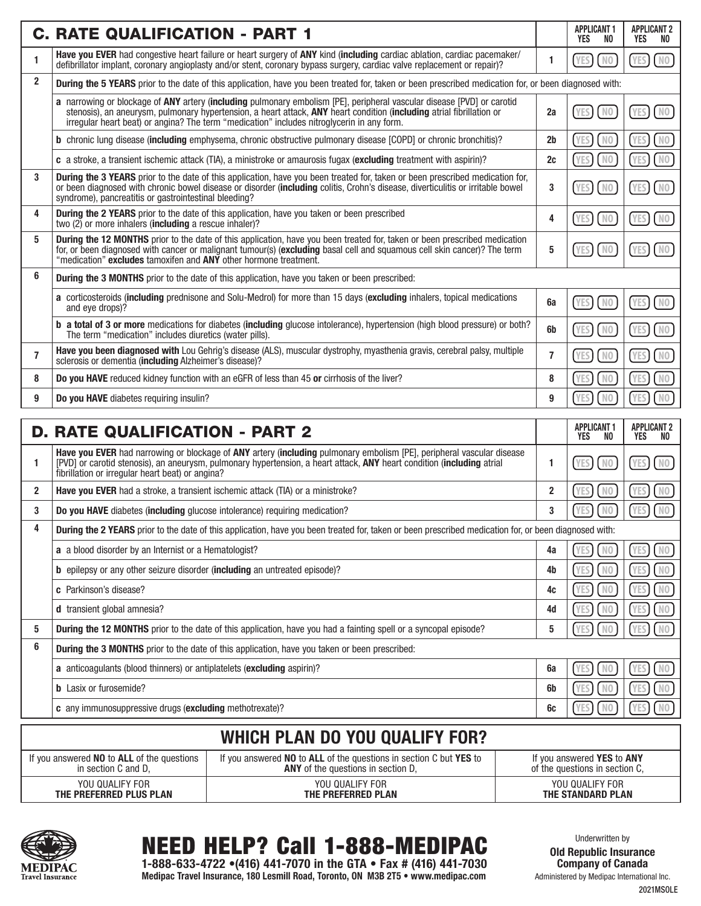|                | <b>C. RATE QUALIFICATION - PART 1</b>                                                                                                                                                                                                                                                                                                         |                         | <b>APPLICANT 1</b><br>YES<br>NO.        | <b>APPLICANT 2</b><br>YES<br>NO. |  |  |  |  |
|----------------|-----------------------------------------------------------------------------------------------------------------------------------------------------------------------------------------------------------------------------------------------------------------------------------------------------------------------------------------------|-------------------------|-----------------------------------------|----------------------------------|--|--|--|--|
| 1              | Have you EVER had congestive heart failure or heart surgery of ANY kind (including cardiac ablation, cardiac pacemaker/<br>defibrillator implant, coronary angioplasty and/or stent, coronary bypass surgery, cardiac valve replacement or repair)?                                                                                           | 1                       | N <sub>0</sub><br><b>YES</b>            | N <sub>0</sub><br><b>YES</b>     |  |  |  |  |
| $\mathbf{2}$   | During the 5 YEARS prior to the date of this application, have you been treated for, taken or been prescribed medication for, or been diagnosed with:                                                                                                                                                                                         |                         |                                         |                                  |  |  |  |  |
|                | a narrowing or blockage of ANY artery (including pulmonary embolism [PE], peripheral vascular disease [PVD] or carotid<br>stenosis), an aneurysm, pulmonary hypertension, a heart attack, ANY heart condition (including atrial fibrillation or<br>irregular heart beat) or angina? The term "medication" includes nitroglycerin in any form. | 2a                      | N <sub>0</sub><br><b>YES</b>            | N <sub>0</sub><br><b>YES</b>     |  |  |  |  |
|                | <b>b</b> chronic lung disease (including emphysema, chronic obstructive pulmonary disease [COPD] or chronic bronchitis)?                                                                                                                                                                                                                      | 2b                      | N <sub>0</sub>                          | N <sub>0</sub>                   |  |  |  |  |
|                | c a stroke, a transient ischemic attack (TIA), a ministroke or amaurosis fugax (excluding treatment with aspirin)?                                                                                                                                                                                                                            | 2c                      | $N0$                                    | N <sub>0</sub>                   |  |  |  |  |
| 3              | During the 3 YEARS prior to the date of this application, have you been treated for, taken or been prescribed medication for,<br>or been diagnosed with chronic bowel disease or disorder (including colitis, Crohn's disease, diverticulitis or irritable bowel<br>syndrome), pancreatitis or gastrointestinal bleeding?                     | 3                       | N <sub>0</sub><br><b>YES</b>            | N <sub>0</sub><br><b>YES</b>     |  |  |  |  |
| 4              | <b>During the 2 YEARS</b> prior to the date of this application, have you taken or been prescribed<br>two $(2)$ or more inhalers (including a rescue inhaler)?                                                                                                                                                                                | 4                       | N <sub>0</sub><br><b>YES</b>            | N <sub>0</sub><br><b>YES</b>     |  |  |  |  |
| 5              | During the 12 MONTHS prior to the date of this application, have you been treated for, taken or been prescribed medication<br>for, or been diagnosed with cancer or malignant tumour(s) (excluding basal cell and squamous cell skin cancer)? The term<br>"medication" excludes tamoxifen and ANY other hormone treatment.                    | 5                       | N <sub>0</sub><br><b>YES</b>            | N <sub>0</sub><br><b>YES</b>     |  |  |  |  |
| 6              | <b>During the 3 MONTHS</b> prior to the date of this application, have you taken or been prescribed:                                                                                                                                                                                                                                          |                         |                                         |                                  |  |  |  |  |
|                | a corticosteroids (including prednisone and Solu-Medrol) for more than 15 days (excluding inhalers, topical medications<br>and eye drops)?                                                                                                                                                                                                    | 6a                      | <b>YES</b><br>N <sub>0</sub>            | N <sub>0</sub><br><b>YES</b>     |  |  |  |  |
|                | <b>b a total of 3 or more</b> medications for diabetes (including glucose intolerance), hypertension (high blood pressure) or both?<br>The term "medication" includes diuretics (water pills).                                                                                                                                                | 6b                      | N <sub>0</sub><br><b>YES</b>            | N <sub>0</sub>                   |  |  |  |  |
| $\overline{7}$ | Have you been diagnosed with Lou Gehrig's disease (ALS), muscular dystrophy, myasthenia gravis, cerebral palsy, multiple<br>sclerosis or dementia (including Alzheimer's disease)?                                                                                                                                                            | $\overline{7}$          | N <sub>0</sub><br><b>YES</b>            | N <sub>0</sub>                   |  |  |  |  |
| 8              | Do you HAVE reduced kidney function with an eGFR of less than 45 or cirrhosis of the liver?                                                                                                                                                                                                                                                   | 8                       | N <sub>0</sub><br><b>YES</b>            | N <sub>0</sub>                   |  |  |  |  |
| 9              | Do you HAVE diabetes requiring insulin?                                                                                                                                                                                                                                                                                                       | 9                       | <b>YES</b><br>N <sub>0</sub>            | N <sub>0</sub>                   |  |  |  |  |
|                | <b>D. RATE QUALIFICATION - PART 2</b>                                                                                                                                                                                                                                                                                                         |                         | <b>APPLICANT 1</b><br><b>YES</b><br>NO. | <b>APPLICANT 2</b><br>YES<br>NO. |  |  |  |  |
| 1.             | Have you EVER had narrowing or blockage of ANY artery (including pulmonary embolism [PE], peripheral vascular disease<br>[PVD] or carotid stenosis), an aneurysm, pulmonary hypertension, a heart attack, ANY heart condition (including atrial<br>fibrillation or irregular heart beat) or angina?                                           | 1                       | N <sub>0</sub><br><b>YES</b>            | N <sub>0</sub>                   |  |  |  |  |
| $\mathbf{2}$   | Have you EVER had a stroke, a transient ischemic attack (TIA) or a ministroke?                                                                                                                                                                                                                                                                | $\overline{\mathbf{2}}$ | N <sub>0</sub><br>YES                   | N <sub>0</sub>                   |  |  |  |  |
| 3              | Do you HAVE diabetes (including glucose intolerance) requiring medication?                                                                                                                                                                                                                                                                    | 3                       | N <sub>0</sub><br><b>YES</b>            | <b>YES</b>                       |  |  |  |  |
| 4              | During the 2 YEARS prior to the date of this application, have you been treated for, taken or been prescribed medication for, or been diagnosed with:                                                                                                                                                                                         |                         |                                         |                                  |  |  |  |  |
|                | a a blood disorder by an Internist or a Hematologist?                                                                                                                                                                                                                                                                                         | 4a                      | N <sub>0</sub>                          | NO.                              |  |  |  |  |
|                | b epilepsy or any other seizure disorder (including an untreated episode)?                                                                                                                                                                                                                                                                    | 4b                      | N <sub>0</sub>                          | N <sub>0</sub>                   |  |  |  |  |
|                | c Parkinson's disease?                                                                                                                                                                                                                                                                                                                        | 4c                      | N <sub>0</sub>                          | N <sub>0</sub>                   |  |  |  |  |
|                | d transient global amnesia?                                                                                                                                                                                                                                                                                                                   | 4d                      | N <sub>0</sub>                          | N <sub>0</sub>                   |  |  |  |  |
| 5              | During the 12 MONTHS prior to the date of this application, have you had a fainting spell or a syncopal episode?                                                                                                                                                                                                                              | 5                       | N <sub>0</sub>                          | N <sub>0</sub>                   |  |  |  |  |
| 6              | During the 3 MONTHS prior to the date of this application, have you taken or been prescribed:                                                                                                                                                                                                                                                 |                         |                                         |                                  |  |  |  |  |
|                | a anticoagulants (blood thinners) or antiplatelets (excluding aspirin)?                                                                                                                                                                                                                                                                       | 6a                      | N <sub>0</sub><br><b>YES</b>            | NO.                              |  |  |  |  |
|                | <b>b</b> Lasix or furosemide?                                                                                                                                                                                                                                                                                                                 | 6b                      | N <sub>0</sub>                          | NΟ                               |  |  |  |  |
|                | c any immunosuppressive drugs (excluding methotrexate)?                                                                                                                                                                                                                                                                                       | 6c                      | N <sub>0</sub>                          | N <sub>0</sub>                   |  |  |  |  |
|                | <b>WHICH PLAN DO YOU QUALIFY FOR?</b>                                                                                                                                                                                                                                                                                                         |                         |                                         |                                  |  |  |  |  |

### If you answered NO to ALL of the questions in section C and D, If you answered NO to ALL of the questions in section C but YES to ANY of the questions in section D, If you answered YES to ANY of the questions in section C, YOU QUALIFY FOR THE PREFERRED PLUS PLAN YOU QUALIFY FOR THE PREFERRED PLAN YOU QUALIFY FOR THE STANDARD PLAN



NEED HELP? Call 1-888-MEDIPAC

Underwritten by Old Republic Insurance Company of Canada Administered by Medipac International Inc.

1-888-633-4722 •(416) 441-7070 in the GTA • Fax # (416) 441-7030 Medipac Travel Insurance, 180 Lesmill Road, Toronto, ON M3B 2T5 • www.medipac.com

2021MSOLE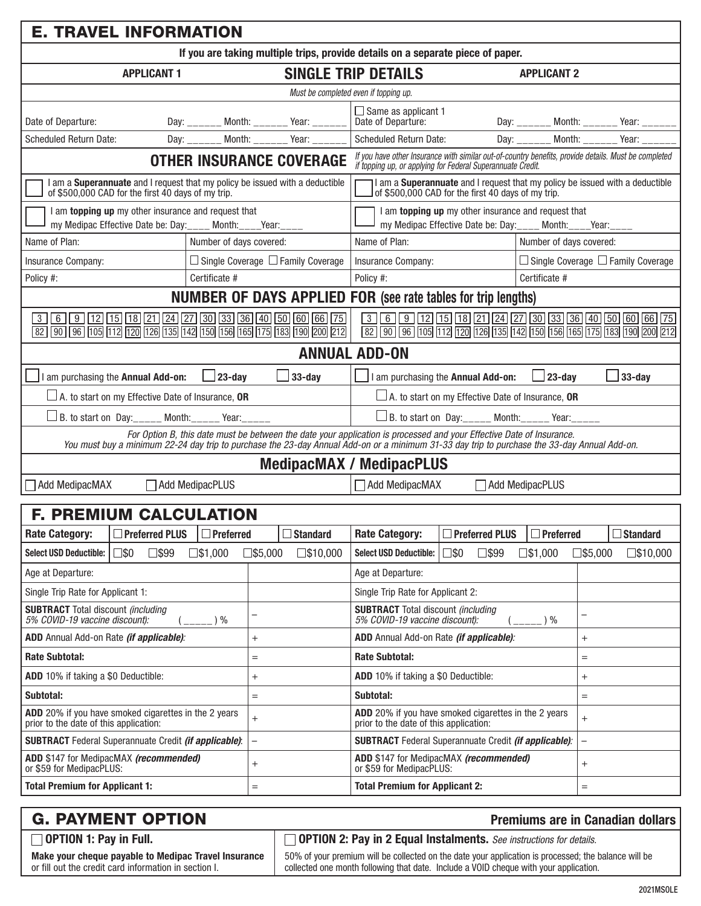| <b>E. TRAVEL INFORMATION</b>                                                                                                                                                                                                                                                                                                                                     |                                                                                                                                                                                                                                                                                 |                          |                                               |                                                                                                                      |                                                                                                                                                       |                         |                          |                                               |
|------------------------------------------------------------------------------------------------------------------------------------------------------------------------------------------------------------------------------------------------------------------------------------------------------------------------------------------------------------------|---------------------------------------------------------------------------------------------------------------------------------------------------------------------------------------------------------------------------------------------------------------------------------|--------------------------|-----------------------------------------------|----------------------------------------------------------------------------------------------------------------------|-------------------------------------------------------------------------------------------------------------------------------------------------------|-------------------------|--------------------------|-----------------------------------------------|
| If you are taking multiple trips, provide details on a separate piece of paper.                                                                                                                                                                                                                                                                                  |                                                                                                                                                                                                                                                                                 |                          |                                               |                                                                                                                      |                                                                                                                                                       |                         |                          |                                               |
| <b>APPLICANT 1</b>                                                                                                                                                                                                                                                                                                                                               | <b>SINGLE TRIP DETAILS</b><br><b>APPLICANT 2</b>                                                                                                                                                                                                                                |                          |                                               |                                                                                                                      |                                                                                                                                                       |                         |                          |                                               |
|                                                                                                                                                                                                                                                                                                                                                                  |                                                                                                                                                                                                                                                                                 |                          |                                               | Must be completed even if topping up.                                                                                |                                                                                                                                                       |                         |                          |                                               |
| Date of Departure:                                                                                                                                                                                                                                                                                                                                               |                                                                                                                                                                                                                                                                                 |                          | Day: _______ Month: _______ Year: _______     | $\Box$ Same as applicant 1<br>Date of Departure:                                                                     |                                                                                                                                                       |                         |                          | Day: _______ Month: _______ Year: ______      |
| <b>Scheduled Return Date:</b>                                                                                                                                                                                                                                                                                                                                    |                                                                                                                                                                                                                                                                                 |                          | Day: _______ Month: _______ Year:             | Scheduled Return Date:                                                                                               |                                                                                                                                                       |                         |                          | Day: _______ Month: _______ Year: _______     |
| If you have other Insurance with similar out-of-country benefits, provide details. Must be completed<br>if topping up, or applying for Federal Superannuate Credit.<br><b>OTHER INSURANCE COVERAGE</b>                                                                                                                                                           |                                                                                                                                                                                                                                                                                 |                          |                                               |                                                                                                                      |                                                                                                                                                       |                         |                          |                                               |
|                                                                                                                                                                                                                                                                                                                                                                  | I am a Superannuate and I request that my policy be issued with a deductible<br>I am a <b>Superannuate</b> and I request that my policy be issued with a deductible<br>of \$500,000 CAD for the first 40 days of my trip.<br>of \$500,000 CAD for the first 40 days of my trip. |                          |                                               |                                                                                                                      |                                                                                                                                                       |                         |                          |                                               |
| I am <b>topping up</b> my other insurance and request that<br>my Medipac Effective Date be: Day:____ Month:____Year:____                                                                                                                                                                                                                                         |                                                                                                                                                                                                                                                                                 |                          |                                               |                                                                                                                      | I am topping up my other insurance and request that<br>my Medipac Effective Date be: Day:____ Month:____Year:____                                     |                         |                          |                                               |
| Name of Plan:                                                                                                                                                                                                                                                                                                                                                    | Number of days covered:                                                                                                                                                                                                                                                         |                          |                                               | Name of Plan:                                                                                                        |                                                                                                                                                       | Number of days covered: |                          |                                               |
| <b>Insurance Company:</b>                                                                                                                                                                                                                                                                                                                                        |                                                                                                                                                                                                                                                                                 |                          | $\Box$ Single Coverage $\Box$ Family Coverage | Insurance Company:                                                                                                   |                                                                                                                                                       |                         |                          | $\Box$ Single Coverage $\Box$ Family Coverage |
| Policy #:                                                                                                                                                                                                                                                                                                                                                        | Certificate #                                                                                                                                                                                                                                                                   |                          |                                               | Policy #:                                                                                                            |                                                                                                                                                       | Certificate #           |                          |                                               |
|                                                                                                                                                                                                                                                                                                                                                                  |                                                                                                                                                                                                                                                                                 |                          |                                               | <b>NUMBER OF DAYS APPLIED FOR (see rate tables for trip lengths)</b>                                                 |                                                                                                                                                       |                         |                          |                                               |
| $\overline{3}\ \overline{6}\ \overline{9}\ \overline{12}\ \overline{15}\ \overline{18}\ \overline{21}\ \overline{24}\ \overline{27}\ \overline{30}\ \overline{33}\ \overline{36}\ \overline{40}\ \overline{50}\ \overline{60}\ \overline{66}\ \overline{75}$<br>82   90   96   105   112   120   126   135   142   150   156   165   175   183   190   200   212 |                                                                                                                                                                                                                                                                                 |                          |                                               |                                                                                                                      | 3 6 9 12 15 18 21 24 27 30 33 36 40 50 60 66 75<br>[82] [90] [96] [105] [112] [120] [126] [135] [142] [150] [156] [165] [175] [183] [190] [200] [212] |                         |                          |                                               |
|                                                                                                                                                                                                                                                                                                                                                                  |                                                                                                                                                                                                                                                                                 |                          |                                               | <b>ANNUAL ADD-ON</b>                                                                                                 |                                                                                                                                                       |                         |                          |                                               |
| am purchasing the Annual Add-on:                                                                                                                                                                                                                                                                                                                                 | $\Box$ 23-day                                                                                                                                                                                                                                                                   |                          | 33-day                                        |                                                                                                                      | I am purchasing the Annual Add-on:                                                                                                                    | $\Box$ 23-day           |                          | $33$ -day                                     |
| $\Box$ A. to start on my Effective Date of Insurance, <b>OR</b>                                                                                                                                                                                                                                                                                                  |                                                                                                                                                                                                                                                                                 |                          |                                               |                                                                                                                      | $\Box$ A. to start on my Effective Date of Insurance, OR                                                                                              |                         |                          |                                               |
|                                                                                                                                                                                                                                                                                                                                                                  | B. to start on Day:_____ Month:_____ Year:_____<br>$\Box$ B. to start on Day: _____ Month: _____ Year: _____                                                                                                                                                                    |                          |                                               |                                                                                                                      |                                                                                                                                                       |                         |                          |                                               |
| You must buy a minimum 22-24 day trip to purchase the 23-day Annual Add-on or a minimum 31-33 day trip to purchase the 33-day Annual Add-on.                                                                                                                                                                                                                     |                                                                                                                                                                                                                                                                                 |                          |                                               | For Option B, this date must be between the date your application is processed and your Effective Date of Insurance. |                                                                                                                                                       |                         |                          |                                               |
|                                                                                                                                                                                                                                                                                                                                                                  |                                                                                                                                                                                                                                                                                 |                          |                                               | <b>MedipacMAX / MedipacPLUS</b>                                                                                      |                                                                                                                                                       |                         |                          |                                               |
| <b>Add MedipacMAX</b><br>Add MedipacPLUS                                                                                                                                                                                                                                                                                                                         |                                                                                                                                                                                                                                                                                 |                          |                                               | Add MedipacMAX                                                                                                       |                                                                                                                                                       | Add MedipacPLUS         |                          |                                               |
| <b>F. PREMIUM CALCULATION</b>                                                                                                                                                                                                                                                                                                                                    |                                                                                                                                                                                                                                                                                 |                          |                                               |                                                                                                                      |                                                                                                                                                       |                         |                          |                                               |
| □ Preferred PLUS □ Preferred<br><b>Rate Category:</b>                                                                                                                                                                                                                                                                                                            |                                                                                                                                                                                                                                                                                 |                          | $\sqrt{\Box$ Standard                         | Rate Category:                                                                                                       | □ Preferred PLUS                                                                                                                                      | $\Box$ Preferred        |                          | $\sqrt{\square}$ Standard                     |
| <b>Select USD Deductible:</b><br>ס\$⊡<br>$\square$ \$99                                                                                                                                                                                                                                                                                                          | $\square$ \$1,000                                                                                                                                                                                                                                                               | $\square$ \$5,000        | $\square$ \$10,000                            | <b>Select USD Deductible:</b>                                                                                        | $\square$ \$0<br>$\square$ \$99                                                                                                                       | $\square$ \$1,000       | $\square$ \$5,000        | $\square$ \$10,000                            |
| Age at Departure:                                                                                                                                                                                                                                                                                                                                                |                                                                                                                                                                                                                                                                                 |                          |                                               | Age at Departure:                                                                                                    |                                                                                                                                                       |                         |                          |                                               |
| Single Trip Rate for Applicant 1:                                                                                                                                                                                                                                                                                                                                |                                                                                                                                                                                                                                                                                 |                          |                                               | Single Trip Rate for Applicant 2:                                                                                    |                                                                                                                                                       |                         |                          |                                               |
| <b>SUBTRACT</b> Total discount (including<br>5% COVID-19 vaccine discount):<br>$)$ %                                                                                                                                                                                                                                                                             |                                                                                                                                                                                                                                                                                 |                          |                                               | <b>SUBTRACT</b> Total discount (including<br>5% COVID-19 vaccine discount):<br>$)$ %                                 |                                                                                                                                                       | -                       |                          |                                               |
| ADD Annual Add-on Rate (if applicable):                                                                                                                                                                                                                                                                                                                          |                                                                                                                                                                                                                                                                                 |                          |                                               | ADD Annual Add-on Rate (if applicable):                                                                              |                                                                                                                                                       |                         | $\ddot{}$                |                                               |
| <b>Rate Subtotal:</b><br>$=$                                                                                                                                                                                                                                                                                                                                     |                                                                                                                                                                                                                                                                                 |                          |                                               | <b>Rate Subtotal:</b>                                                                                                |                                                                                                                                                       | $=$                     |                          |                                               |
| ADD 10% if taking a \$0 Deductible:<br>$^{+}$                                                                                                                                                                                                                                                                                                                    |                                                                                                                                                                                                                                                                                 |                          |                                               | ADD 10% if taking a \$0 Deductible:                                                                                  |                                                                                                                                                       | $^{+}$                  |                          |                                               |
| Subtotal:<br>$=$                                                                                                                                                                                                                                                                                                                                                 |                                                                                                                                                                                                                                                                                 |                          |                                               | Subtotal:                                                                                                            |                                                                                                                                                       |                         | $=$                      |                                               |
| ADD 20% if you have smoked cigarettes in the 2 years<br>$\ddot{}$<br>prior to the date of this application:                                                                                                                                                                                                                                                      |                                                                                                                                                                                                                                                                                 |                          |                                               | ADD 20% if you have smoked cigarettes in the 2 years<br>$^{+}$<br>prior to the date of this application:             |                                                                                                                                                       |                         |                          |                                               |
| <b>SUBTRACT</b> Federal Superannuate Credit <i>(if applicable)</i> :                                                                                                                                                                                                                                                                                             |                                                                                                                                                                                                                                                                                 | $\overline{\phantom{0}}$ |                                               | <b>SUBTRACT</b> Federal Superannuate Credit <i>(if applicable):</i>                                                  |                                                                                                                                                       |                         | $\overline{\phantom{0}}$ |                                               |
| or \$59 for MedipacPLUS:                                                                                                                                                                                                                                                                                                                                         | ADD \$147 for MedipacMAX (recommended)<br>ADD \$147 for MedipacMAX (recommended)<br>$+$<br>$\ddot{}$<br>or \$59 for MedipacPLUS:                                                                                                                                                |                          |                                               |                                                                                                                      |                                                                                                                                                       |                         |                          |                                               |
| <b>Total Premium for Applicant 1:</b>                                                                                                                                                                                                                                                                                                                            |                                                                                                                                                                                                                                                                                 | $=$                      |                                               | <b>Total Premium for Applicant 2:</b>                                                                                |                                                                                                                                                       |                         | $=$                      |                                               |

| <b>G. PAYMENT OPTION</b>                                                                                      | <b>Premiums are in Canadian dollars</b>                                                                                                                                                       |
|---------------------------------------------------------------------------------------------------------------|-----------------------------------------------------------------------------------------------------------------------------------------------------------------------------------------------|
| $\Box$ OPTION 1: Pay in Full.                                                                                 | <b>OPTION 2: Pay in 2 Equal Instalments.</b> See instructions for details.                                                                                                                    |
| Make your cheque payable to Medipac Travel Insurance<br>or fill out the credit card information in section I. | 50% of your premium will be collected on the date your application is processed; the balance will be<br>collected one month following that date. Include a VOID cheque with your application. |